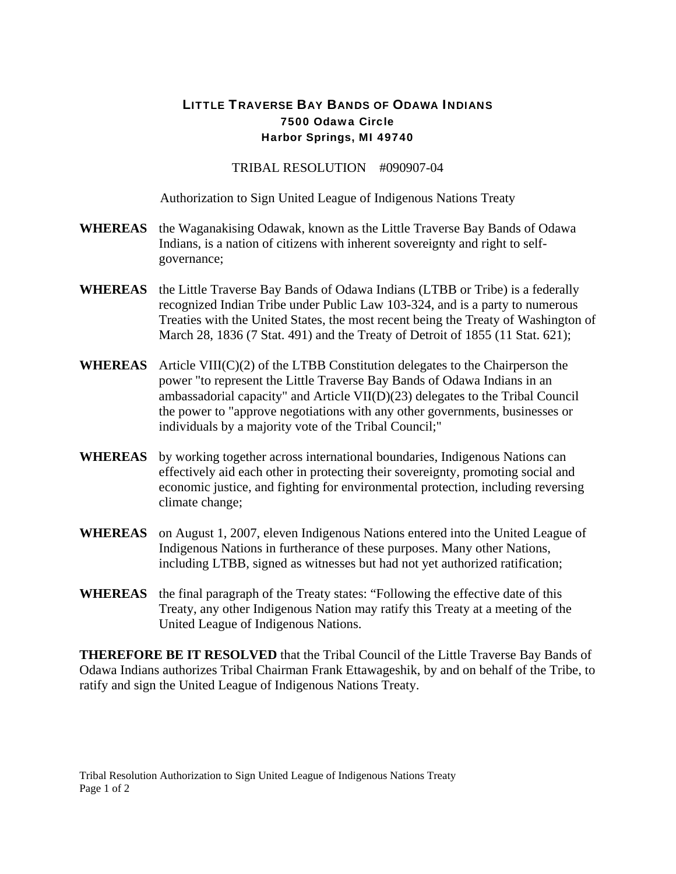## LITTLE TRAVERSE BAY BANDS OF ODAWA INDIANS 7500 Odawa Circle Harbor Springs, MI 49740

TRIBAL RESOLUTION #090907-04

Authorization to Sign United League of Indigenous Nations Treaty

- **WHEREAS** the Waganakising Odawak, known as the Little Traverse Bay Bands of Odawa Indians, is a nation of citizens with inherent sovereignty and right to selfgovernance;
- **WHEREAS** the Little Traverse Bay Bands of Odawa Indians (LTBB or Tribe) is a federally recognized Indian Tribe under Public Law 103-324, and is a party to numerous Treaties with the United States, the most recent being the Treaty of Washington of March 28, 1836 (7 Stat. 491) and the Treaty of Detroit of 1855 (11 Stat. 621);
- **WHEREAS** Article VIII(C)(2) of the LTBB Constitution delegates to the Chairperson the power "to represent the Little Traverse Bay Bands of Odawa Indians in an ambassadorial capacity" and Article VII(D)(23) delegates to the Tribal Council the power to "approve negotiations with any other governments, businesses or individuals by a majority vote of the Tribal Council;"
- **WHEREAS** by working together across international boundaries, Indigenous Nations can effectively aid each other in protecting their sovereignty, promoting social and economic justice, and fighting for environmental protection, including reversing climate change;
- **WHEREAS** on August 1, 2007, eleven Indigenous Nations entered into the United League of Indigenous Nations in furtherance of these purposes. Many other Nations, including LTBB, signed as witnesses but had not yet authorized ratification;
- **WHEREAS** the final paragraph of the Treaty states: "Following the effective date of this Treaty, any other Indigenous Nation may ratify this Treaty at a meeting of the United League of Indigenous Nations.

**THEREFORE BE IT RESOLVED** that the Tribal Council of the Little Traverse Bay Bands of Odawa Indians authorizes Tribal Chairman Frank Ettawageshik, by and on behalf of the Tribe, to ratify and sign the United League of Indigenous Nations Treaty.